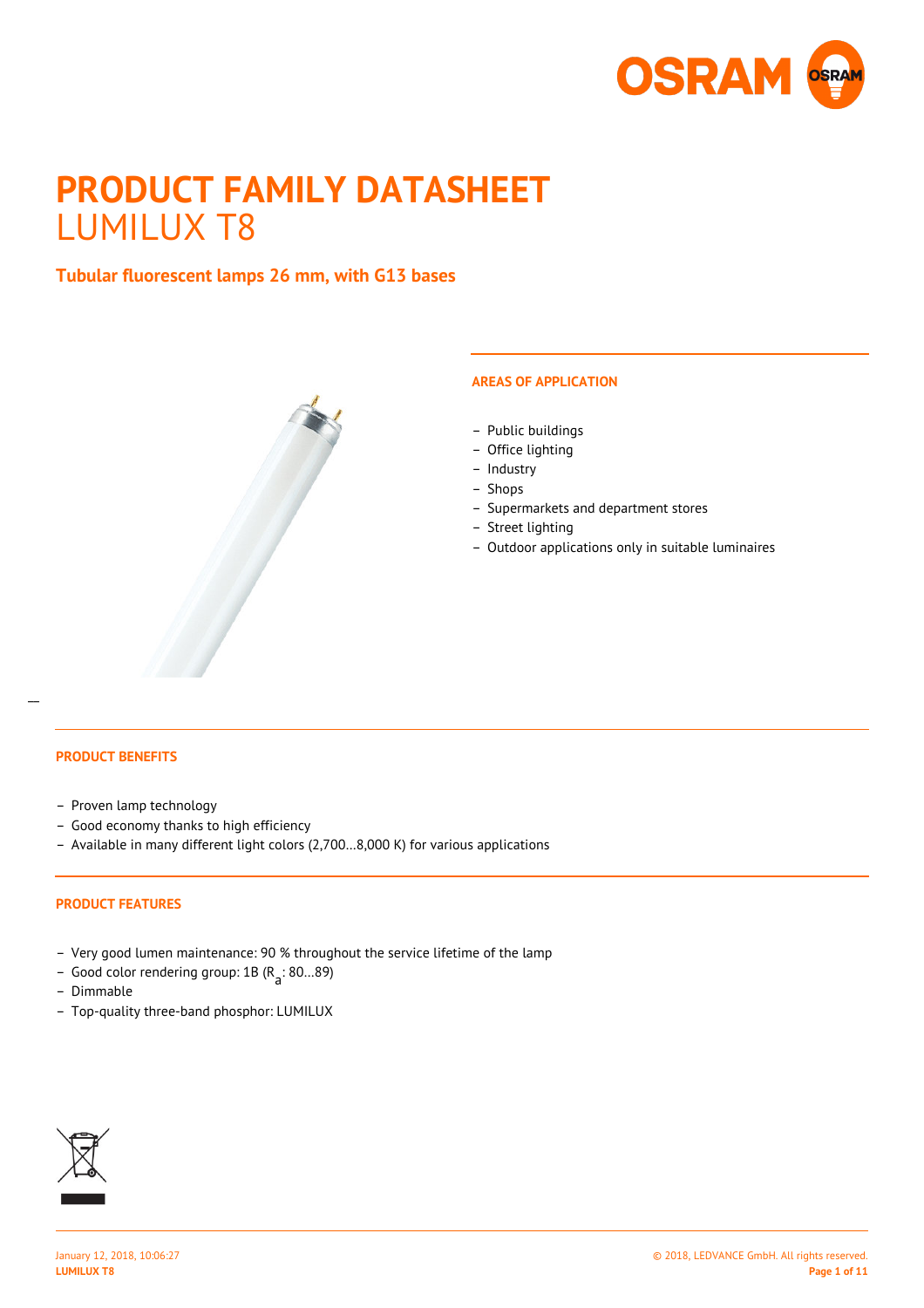

# **PRODUCT FAMILY DATASHEET** LUMILUX T8

## **Tubular fluorescent lamps 26 mm, with G13 bases**



## **AREAS OF APPLICATION**

- Public buildings
- Office lighting
- Industry
- Shops
- Supermarkets and department stores
- Street lighting
- Outdoor applications only in suitable luminaires

## **PRODUCT BENEFITS**

 $\overline{a}$ 

- Proven lamp technology
- Good economy thanks to high efficiency
- Available in many different light colors (2,700…8,000 K) for various applications

### **PRODUCT FEATURES**

- Very good lumen maintenance: 90 % throughout the service lifetime of the lamp
- Good color rendering group: 1B (R<sub>a</sub>: 80...89)
- Dimmable
- Top-quality three-band phosphor: LUMILUX

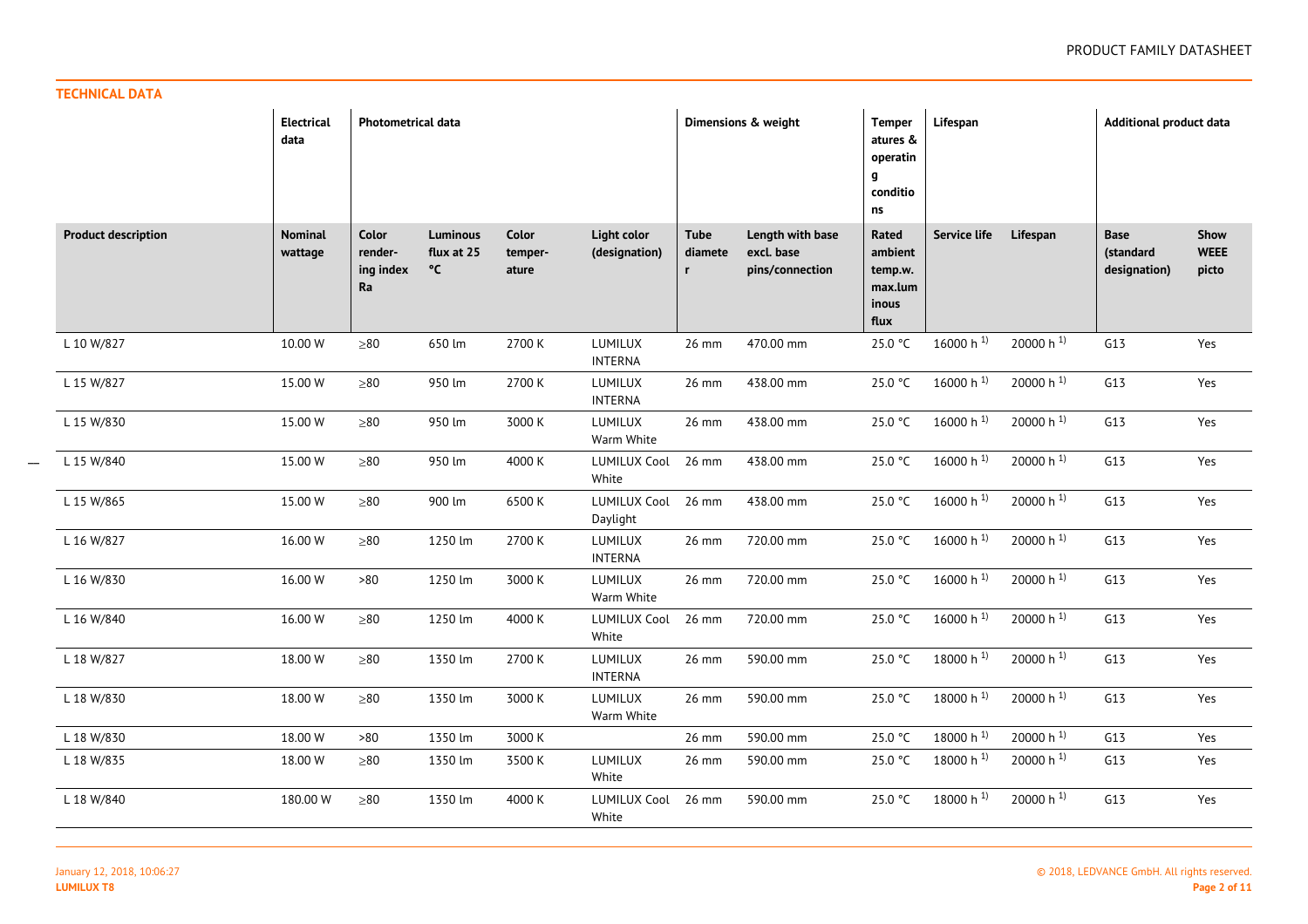| . |     |  |
|---|-----|--|
|   | . . |  |
|   |     |  |

|                            | <b>Electrical</b><br>data | Photometrical data                  |                                     |                                  |                                 |                             | Dimensions & weight                               | <b>Temper</b><br>atures &<br>operatin<br>g<br>conditio<br>ns | Lifespan              |                       | <b>Additional product data</b>           |                              |
|----------------------------|---------------------------|-------------------------------------|-------------------------------------|----------------------------------|---------------------------------|-----------------------------|---------------------------------------------------|--------------------------------------------------------------|-----------------------|-----------------------|------------------------------------------|------------------------------|
| <b>Product description</b> | <b>Nominal</b><br>wattage | Color<br>render-<br>ing index<br>Ra | <b>Luminous</b><br>flux at 25<br>°C | <b>Color</b><br>temper-<br>ature | Light color<br>(designation)    | <b>Tube</b><br>diamete<br>r | Length with base<br>excl. base<br>pins/connection | Rated<br>ambient<br>temp.w.<br>max.lum<br>inous<br>flux      | Service life          | Lifespan              | <b>Base</b><br>(standard<br>designation) | Show<br><b>WEEE</b><br>picto |
| L 10 W/827                 | 10.00 W                   | ${\geq}80$                          | 650 lm                              | 2700 K                           | LUMILUX<br><b>INTERNA</b>       | 26 mm                       | 470.00 mm                                         | 25.0 °C                                                      | 16000 h $^{1}$ )      | 20000 h $^{1}$        | G13                                      | Yes                          |
| L 15 W/827                 | 15.00 W                   | ${\geq}80$                          | 950 lm                              | 2700 K                           | LUMILUX<br><b>INTERNA</b>       | 26 mm                       | 438.00 mm                                         | 25.0 °C                                                      | 16000 h $^{1}$        | 20000 h $^{1}$        | G13                                      | Yes                          |
| L 15 W/830                 | 15.00 W                   | $\geq 80$                           | 950 lm                              | 3000 K                           | LUMILUX<br>Warm White           | 26 mm                       | 438.00 mm                                         | 25.0 °C                                                      | 16000 h $^{1}$        | 20000 h <sup>1)</sup> | G13                                      | Yes                          |
| L 15 W/840                 | 15.00 W                   | ${\geq}80$                          | 950 lm                              | 4000 K                           | <b>LUMILUX Cool</b><br>White    | 26 mm                       | 438.00 mm                                         | 25.0 °C                                                      | 16000 h $^{1}$        | 20000 h <sup>1)</sup> | G13                                      | Yes                          |
| L 15 W/865                 | 15.00 W                   | ${\geq}80$                          | 900 lm                              | 6500K                            | <b>LUMILUX Cool</b><br>Daylight | 26 mm                       | 438.00 mm                                         | 25.0 °C                                                      | 16000 h $^{1}$        | 20000 h <sup>1)</sup> | G13                                      | Yes                          |
| L 16 W/827                 | 16.00 W                   | ${\geq}80$                          | 1250 lm                             | 2700 K                           | LUMILUX<br><b>INTERNA</b>       | 26 mm                       | 720.00 mm                                         | 25.0 °C                                                      | 16000 h $^{1}$        | 20000 h <sup>1)</sup> | G13                                      | Yes                          |
| L 16 W/830                 | 16.00 W                   | >80                                 | 1250 lm                             | 3000 K                           | LUMILUX<br>Warm White           | 26 mm                       | 720.00 mm                                         | 25.0 °C                                                      | 16000 h $^{1}$ )      | 20000 h $^{1}$        | G13                                      | Yes                          |
| L 16 W/840                 | 16.00 W                   | $\geq 80$                           | 1250 lm                             | 4000 K                           | <b>LUMILUX Cool</b><br>White    | 26 mm                       | 720.00 mm                                         | 25.0 °C                                                      | 16000 h $^{1}$ )      | 20000 h $^{1}$        | G13                                      | Yes                          |
| L 18 W/827                 | 18.00 W                   | ${\geq}80$                          | 1350 lm                             | 2700 K                           | LUMILUX<br><b>INTERNA</b>       | 26 mm                       | 590.00 mm                                         | 25.0 °C                                                      | 18000 h $^{1}$ )      | 20000 h <sup>1)</sup> | G13                                      | Yes                          |
| L 18 W/830                 | 18.00 W                   | ${\geq}80$                          | 1350 lm                             | 3000 K                           | LUMILUX<br>Warm White           | 26 mm                       | 590.00 mm                                         | 25.0 °C                                                      | 18000 h $^{1}$ )      | 20000 h $^{1}$        | G13                                      | Yes                          |
| L 18 W/830                 | 18.00 W                   | $>80$                               | 1350 lm                             | 3000 K                           |                                 | 26 mm                       | 590.00 mm                                         | 25.0 °C                                                      | 18000 h <sup>1)</sup> | 20000 h $^{1}$        | G13                                      | Yes                          |
| L 18 W/835                 | 18.00 W                   | $\geq 80$                           | 1350 lm                             | 3500 K                           | LUMILUX<br>White                | 26 mm                       | 590.00 mm                                         | 25.0 °C                                                      | 18000 h 1)            | 20000 h <sup>1)</sup> | G13                                      | Yes                          |
| L 18 W/840                 | 180.00 W                  | $\geq 80$                           | 1350 lm                             | 4000 K                           | <b>LUMILUX Cool</b><br>White    | 26 mm                       | 590.00 mm                                         | 25.0 °C                                                      | 18000 h $^{1}$        | 20000 h <sup>1)</sup> | G13                                      | Yes                          |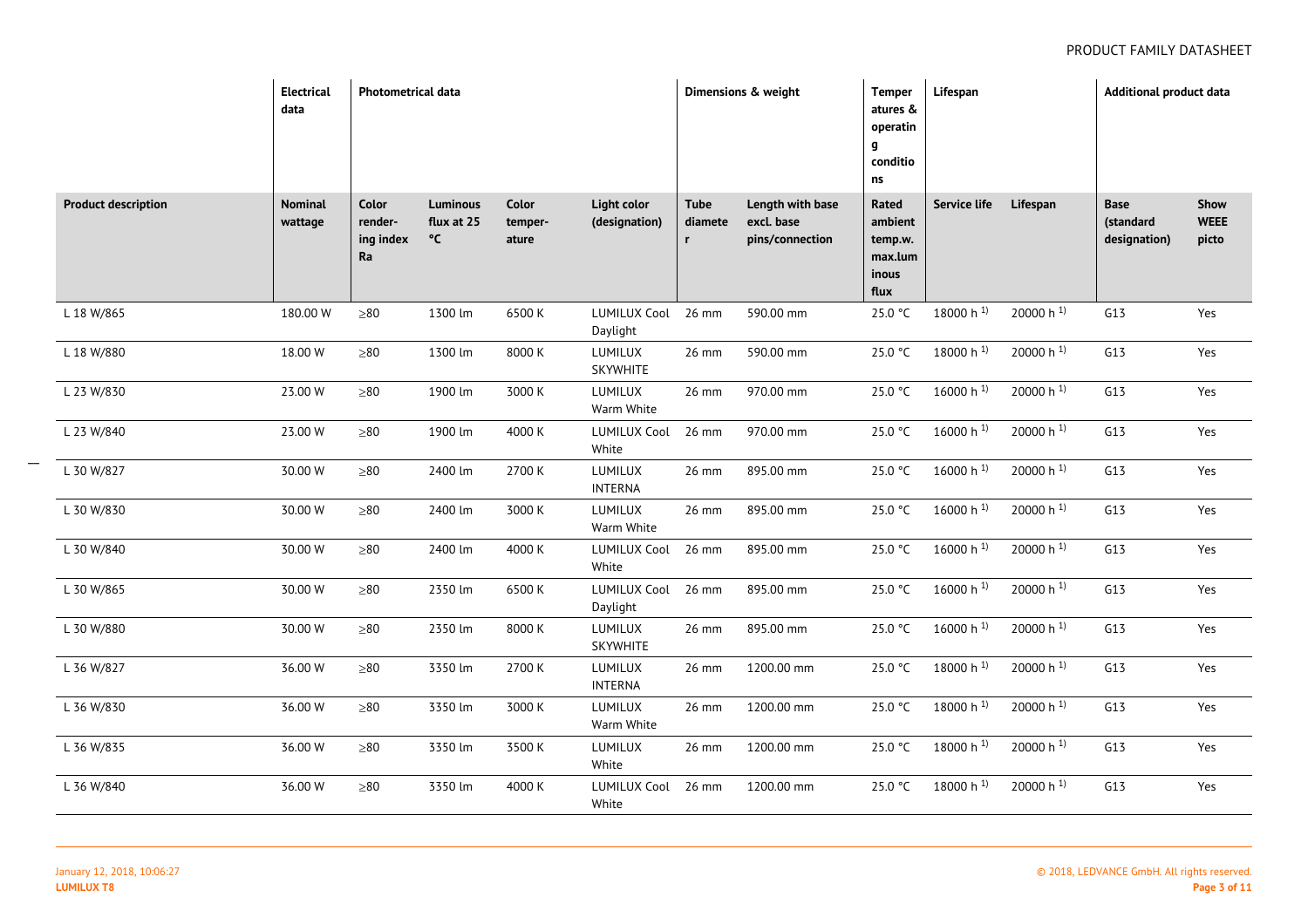|                            | <b>Electrical</b><br>data | <b>Photometrical data</b>           |                                     |                           |                                 |                        | Dimensions & weight                               | <b>Temper</b><br>atures &<br>operatin<br>g<br>conditio<br>ns | Lifespan              |                       | <b>Additional product data</b>           |                              |
|----------------------------|---------------------------|-------------------------------------|-------------------------------------|---------------------------|---------------------------------|------------------------|---------------------------------------------------|--------------------------------------------------------------|-----------------------|-----------------------|------------------------------------------|------------------------------|
| <b>Product description</b> | Nominal<br>wattage        | Color<br>render-<br>ing index<br>Ra | <b>Luminous</b><br>flux at 25<br>°C | Color<br>temper-<br>ature | Light color<br>(designation)    | <b>Tube</b><br>diamete | Length with base<br>excl. base<br>pins/connection | Rated<br>ambient<br>temp.w.<br>max.lum<br>inous<br>flux      | Service life          | Lifespan              | <b>Base</b><br>(standard<br>designation) | Show<br><b>WEEE</b><br>picto |
| L 18 W/865                 | 180.00 W                  | ${\geq}80$                          | 1300 lm                             | 6500 K                    | <b>LUMILUX Cool</b><br>Daylight | 26 mm                  | 590.00 mm                                         | 25.0 °C                                                      | 18000 h $^{1}$        | 20000 h <sup>1)</sup> | G13                                      | Yes                          |
| L 18 W/880                 | 18.00 W                   | ${\geq}80$                          | 1300 lm                             | 8000 K                    | LUMILUX<br>SKYWHITE             | 26 mm                  | 590.00 mm                                         | 25.0 °C                                                      | 18000 h <sup>1)</sup> | 20000 h $^{1}$        | G13                                      | Yes                          |
| L 23 W/830                 | 23.00 W                   | ${\geq}80$                          | 1900 lm                             | 3000 K                    | LUMILUX<br>Warm White           | 26 mm                  | 970.00 mm                                         | 25.0 °C                                                      | 16000 h $^{1}$        | 20000 h <sup>1)</sup> | G13                                      | Yes                          |
| L 23 W/840                 | 23.00 W                   | ${\geq}80$                          | 1900 lm                             | 4000 K                    | <b>LUMILUX Cool</b><br>White    | 26 mm                  | 970.00 mm                                         | 25.0 °C                                                      | 16000 h $^{1}$        | 20000 h <sup>1)</sup> | G13                                      | Yes                          |
| L 30 W/827                 | 30.00 W                   | ${\geq}80$                          | 2400 lm                             | 2700 K                    | LUMILUX<br><b>INTERNA</b>       | 26 mm                  | 895.00 mm                                         | 25.0 °C                                                      | 16000 h $^{1}$        | 20000 h <sup>1)</sup> | G13                                      | Yes                          |
| L 30 W/830                 | 30.00 W                   | ${\geq}80$                          | 2400 lm                             | 3000 K                    | LUMILUX<br>Warm White           | 26 mm                  | 895.00 mm                                         | 25.0 °C                                                      | 16000 h $^{1}$        | 20000 h <sup>1)</sup> | G13                                      | Yes                          |
| L 30 W/840                 | 30.00 W                   | ${\geq}80$                          | 2400 lm                             | 4000 K                    | LUMILUX Cool 26 mm<br>White     |                        | 895.00 mm                                         | 25.0 °C                                                      | 16000 h $^{1}$ )      | 20000 h <sup>1)</sup> | G13                                      | Yes                          |
| L 30 W/865                 | 30.00 W                   | ${\geq}80$                          | 2350 lm                             | 6500 K                    | LUMILUX Cool 26 mm<br>Daylight  |                        | 895.00 mm                                         | 25.0 °C                                                      | 16000 h $^{1}$        | 20000 h <sup>1)</sup> | G13                                      | Yes                          |
| L 30 W/880                 | 30.00 W                   | ${\geq}80$                          | 2350 lm                             | 8000 K                    | LUMILUX<br>SKYWHITE             | 26 mm                  | 895.00 mm                                         | 25.0 °C                                                      | 16000 h $^{1}$        | 20000 h <sup>1)</sup> | G13                                      | Yes                          |
| L 36 W/827                 | 36.00 W                   | ${\geq}80$                          | 3350 lm                             | 2700 K                    | LUMILUX<br><b>INTERNA</b>       | 26 mm                  | 1200.00 mm                                        | 25.0 °C                                                      | 18000 h <sup>1)</sup> | 20000 h <sup>1)</sup> | G13                                      | Yes                          |
| L 36 W/830                 | 36.00 W                   | ${\geq}80$                          | 3350 lm                             | 3000 K                    | LUMILUX<br>Warm White           | 26 mm                  | 1200.00 mm                                        | 25.0 °C                                                      | 18000 h $^{1}$        | 20000 h <sup>1)</sup> | G13                                      | Yes                          |
| L 36 W/835                 | 36.00 W                   | ${\geq}80$                          | 3350 lm                             | 3500 K                    | LUMILUX<br>White                | 26 mm                  | 1200.00 mm                                        | 25.0 °C                                                      | 18000 h <sup>1)</sup> | 20000 h <sup>1)</sup> | G13                                      | Yes                          |
| L 36 W/840                 | 36.00 W                   | ${\geq}80$                          | 3350 lm                             | 4000 K                    | <b>LUMILUX Cool</b><br>White    | 26 mm                  | 1200.00 mm                                        | 25.0 °C                                                      | 18000 h <sup>1)</sup> | 20000 h <sup>1)</sup> | G13                                      | Yes                          |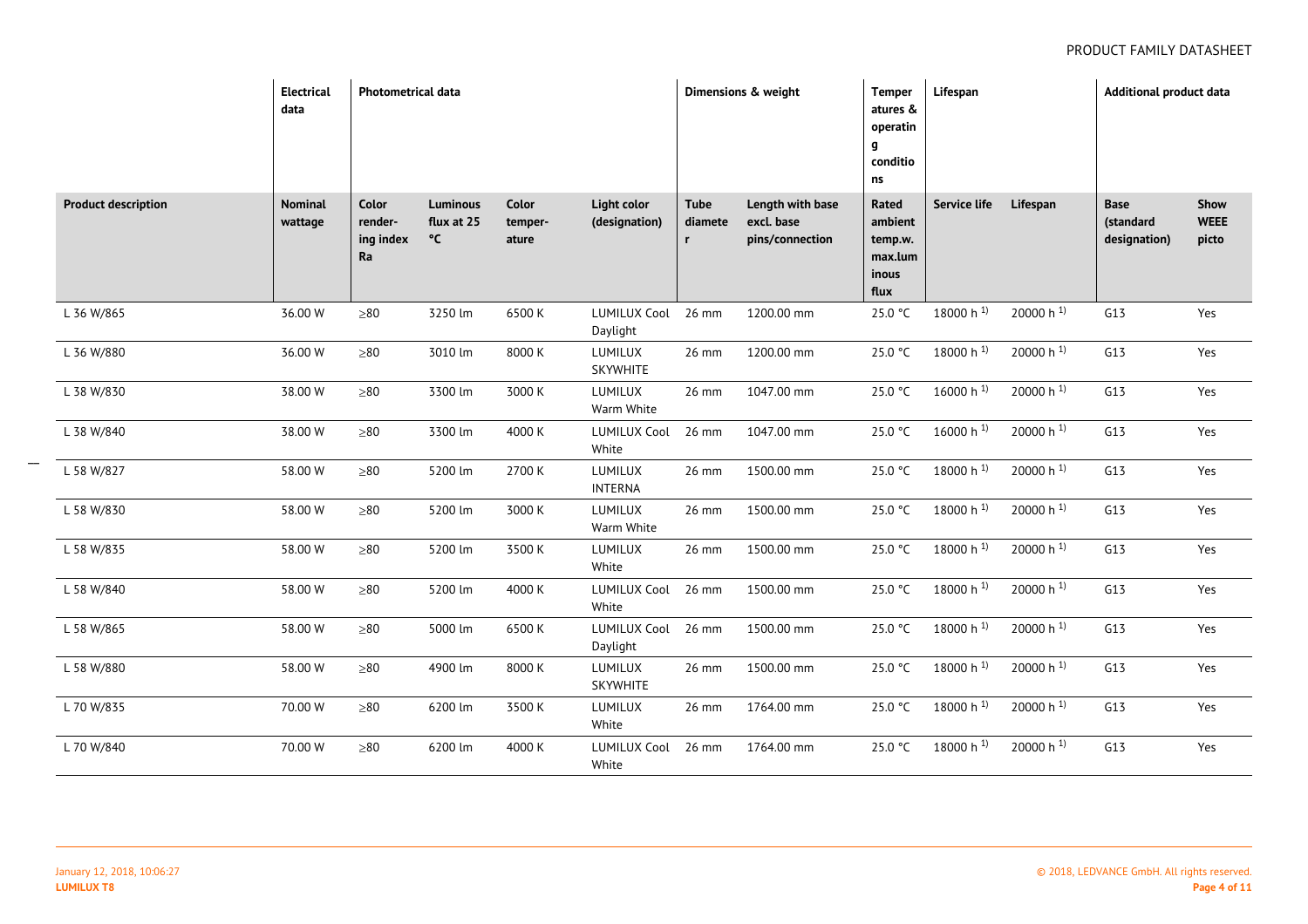|                            | <b>Electrical</b><br>data | <b>Photometrical data</b>                  |                                     |                           |                                     |                             | Dimensions & weight                               | <b>Temper</b><br>atures &<br>operatin<br>g<br>conditio<br>ns | Lifespan                |                       | <b>Additional product data</b>    |                              |
|----------------------------|---------------------------|--------------------------------------------|-------------------------------------|---------------------------|-------------------------------------|-----------------------------|---------------------------------------------------|--------------------------------------------------------------|-------------------------|-----------------------|-----------------------------------|------------------------------|
| <b>Product description</b> | <b>Nominal</b><br>wattage | Color<br>render-<br>ing index<br><b>Ra</b> | <b>Luminous</b><br>flux at 25<br>°C | Color<br>temper-<br>ature | <b>Light color</b><br>(designation) | Tube<br>diamete<br><b>r</b> | Length with base<br>excl. base<br>pins/connection | Rated<br>ambient<br>temp.w.<br>max.lum<br>inous<br>flux      | Service life            | Lifespan              | Base<br>(standard<br>designation) | Show<br><b>WEEE</b><br>picto |
| L 36 W/865                 | 36.00 W                   | $\geq 80$                                  | 3250 lm                             | 6500 K                    | <b>LUMILUX Cool</b><br>Daylight     | 26 mm                       | 1200.00 mm                                        | 25.0 °C                                                      | $18000 h$ <sup>1)</sup> | 20000 h <sup>1)</sup> | G13                               | Yes                          |
| L 36 W/880                 | 36.00 W                   | ${\geq}80$                                 | 3010 lm                             | 8000 K                    | LUMILUX<br>SKYWHITE                 | 26 mm                       | 1200.00 mm                                        | 25.0 °C                                                      | 18000 h $^{1}$ )        | 20000 h $^{1}$        | G13                               | Yes                          |
| L 38 W/830                 | 38.00 W                   | ${\geq}80$                                 | 3300 lm                             | 3000 K                    | LUMILUX<br>Warm White               | 26 mm                       | 1047.00 mm                                        | 25.0 °C                                                      | 16000 h $^{1}$          | 20000 h $^{1}$        | G13                               | Yes                          |
| L 38 W/840                 | 38.00 W                   | ${\geq}80$                                 | 3300 lm                             | 4000 K                    | <b>LUMILUX Cool</b><br>White        | 26 mm                       | 1047.00 mm                                        | 25.0 °C                                                      | 16000 h $^{1}$ )        | 20000 h $^{1}$        | G13                               | Yes                          |
| L 58 W/827                 | 58.00 W                   | ${\geq}80$                                 | 5200 lm                             | 2700 K                    | LUMILUX<br><b>INTERNA</b>           | 26 mm                       | 1500.00 mm                                        | 25.0 °C                                                      | 18000 h $^{1}$          | 20000 h <sup>1)</sup> | G13                               | Yes                          |
| L 58 W/830                 | 58.00 W                   | ${\geq}80$                                 | 5200 lm                             | 3000 K                    | <b>LUMILUX</b><br>Warm White        | 26 mm                       | 1500.00 mm                                        | 25.0 °C                                                      | 18000 h $^{1}$ )        | 20000 h <sup>1)</sup> | G13                               | Yes                          |
| L 58 W/835                 | 58.00 W                   | ${\geq}80$                                 | 5200 lm                             | 3500 K                    | LUMILUX<br>White                    | 26 mm                       | 1500.00 mm                                        | 25.0 °C                                                      | 18000 h $^{1}$          | 20000 h <sup>1)</sup> | G13                               | Yes                          |
| L 58 W/840                 | 58.00 W                   | ${\geq}80$                                 | 5200 lm                             | 4000 K                    | <b>LUMILUX Cool</b><br>White        | 26 mm                       | 1500.00 mm                                        | 25.0 °C                                                      | 18000 h $^{1}$ )        | 20000 h $^{1}$        | G13                               | Yes                          |
| L 58 W/865                 | 58.00 W                   | $\geq 80$                                  | 5000 lm                             | 6500K                     | <b>LUMILUX Cool</b><br>Daylight     | 26 mm                       | 1500.00 mm                                        | 25.0 °C                                                      | 18000 h $^{1}$          | 20000 h $^{1}$        | G13                               | Yes                          |
| L 58 W/880                 | 58.00 W                   | ${\geq}80$                                 | 4900 lm                             | 8000 K                    | LUMILUX<br>SKYWHITE                 | 26 mm                       | 1500.00 mm                                        | 25.0 °C                                                      | 18000 h $^{1}$          | 20000 h $^{1}$        | G13                               | Yes                          |
| L 70 W/835                 | 70.00 W                   | ${\geq}80$                                 | 6200 lm                             | 3500 K                    | LUMILUX<br>White                    | 26 mm                       | 1764.00 mm                                        | 25.0 °C                                                      | 18000 h $^{1}$          | 20000 h $^{1}$        | G13                               | Yes                          |
| L 70 W/840                 | 70.00 W                   | ${\geq}80$                                 | 6200 lm                             | 4000 K                    | <b>LUMILUX Cool</b><br>White        | 26 mm                       | 1764.00 mm                                        | 25.0 °C                                                      | 18000 h $^{1}$ )        | 20000 h $^{1}$        | G13                               | Yes                          |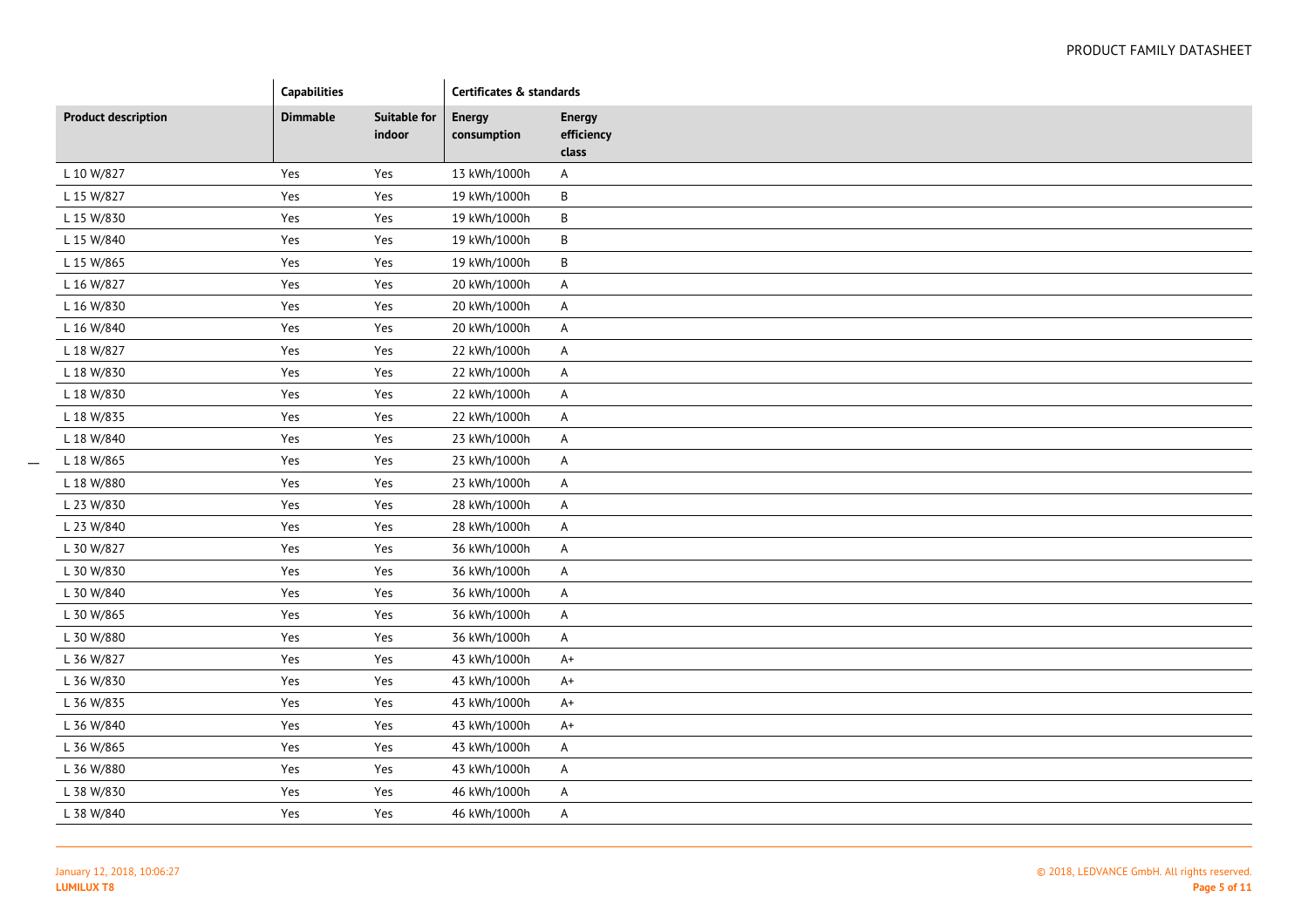|                            | Capabilities    |                               | Certificates & standards     |                                      |
|----------------------------|-----------------|-------------------------------|------------------------------|--------------------------------------|
| <b>Product description</b> | <b>Dimmable</b> | <b>Suitable for</b><br>indoor | <b>Energy</b><br>consumption | <b>Energy</b><br>efficiency<br>class |
| L 10 W/827                 | Yes             | Yes                           | 13 kWh/1000h                 | A                                    |
| L 15 W/827                 | Yes             | Yes                           | 19 kWh/1000h                 | B                                    |
| L 15 W/830                 | Yes             | Yes                           | 19 kWh/1000h                 | $\sf B$                              |
| L 15 W/840                 | Yes             | Yes                           | 19 kWh/1000h                 | $\sf B$                              |
| L 15 W/865                 | Yes             | Yes                           | 19 kWh/1000h                 | $\sf B$                              |
| L 16 W/827                 | Yes             | Yes                           | 20 kWh/1000h                 | A                                    |
| L 16 W/830                 | Yes             | Yes                           | 20 kWh/1000h                 | A                                    |
| L 16 W/840                 | Yes             | Yes                           | 20 kWh/1000h                 | A                                    |
| L 18 W/827                 | Yes             | Yes                           | 22 kWh/1000h                 | A                                    |
| L 18 W/830                 | Yes             | Yes                           | 22 kWh/1000h                 | A                                    |
| L 18 W/830                 | Yes             | Yes                           | 22 kWh/1000h                 | A                                    |
| L 18 W/835                 | Yes             | Yes                           | 22 kWh/1000h                 | A                                    |
| L 18 W/840                 | Yes             | Yes                           | 23 kWh/1000h                 | A                                    |
| L 18 W/865                 | Yes             | Yes                           | 23 kWh/1000h                 | A                                    |
| L 18 W/880                 | Yes             | Yes                           | 23 kWh/1000h                 | A                                    |
| L 23 W/830                 | Yes             | Yes                           | 28 kWh/1000h                 | A                                    |
| L 23 W/840                 | Yes             | Yes                           | 28 kWh/1000h                 | A                                    |
| L 30 W/827                 | Yes             | Yes                           | 36 kWh/1000h                 | A                                    |
| L 30 W/830                 | Yes             | Yes                           | 36 kWh/1000h                 | A                                    |
| L 30 W/840                 | Yes             | Yes                           | 36 kWh/1000h                 | A                                    |
| L 30 W/865                 | Yes             | Yes                           | 36 kWh/1000h                 | A                                    |
| L 30 W/880                 | Yes             | Yes                           | 36 kWh/1000h                 | $\mathsf{A}$                         |
| L 36 W/827                 | Yes             | Yes                           | 43 kWh/1000h                 | $A+$                                 |
| L 36 W/830                 | Yes             | Yes                           | 43 kWh/1000h                 | $A+$                                 |
| L 36 W/835                 | Yes             | Yes                           | 43 kWh/1000h                 | $A+$                                 |
| L 36 W/840                 | Yes             | Yes                           | 43 kWh/1000h                 | $A+$                                 |
| L 36 W/865                 | Yes             | Yes                           | 43 kWh/1000h                 | A                                    |
| L 36 W/880                 | Yes             | Yes                           | 43 kWh/1000h                 | A                                    |
| L 38 W/830                 | Yes             | Yes                           | 46 kWh/1000h                 | $\mathsf{A}$                         |
| L 38 W/840                 | Yes             | Yes                           | 46 kWh/1000h                 | A                                    |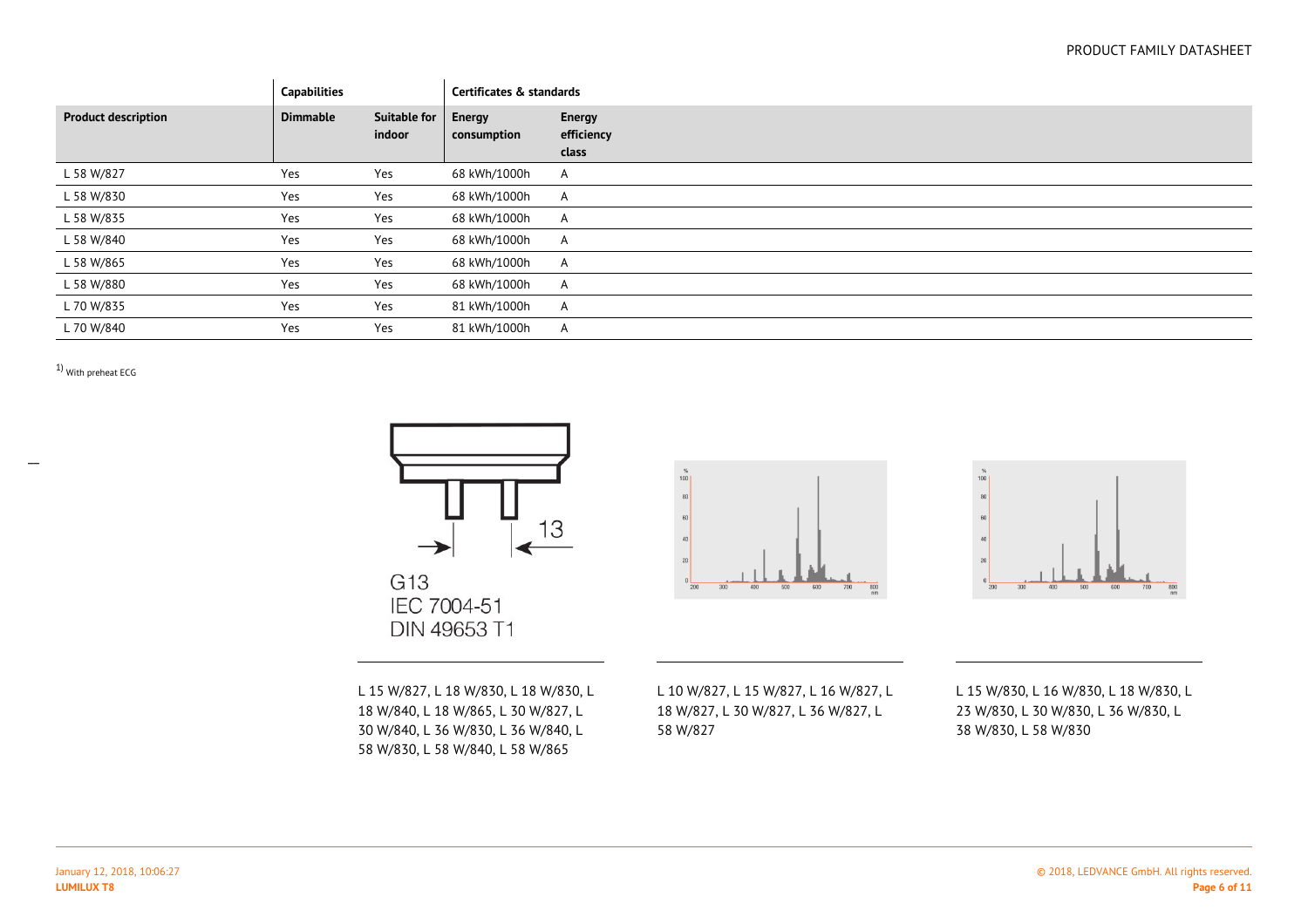## PRODUCT FAMILY DATASHEET

|                            | <b>Capabilities</b> |                        | Certificates & standards |                                      |
|----------------------------|---------------------|------------------------|--------------------------|--------------------------------------|
| <b>Product description</b> | <b>Dimmable</b>     | Suitable for<br>indoor | Energy<br>consumption    | <b>Energy</b><br>efficiency<br>class |
| L 58 W/827                 | Yes                 | Yes                    | 68 kWh/1000h             | A                                    |
| L 58 W/830                 | Yes                 | Yes                    | 68 kWh/1000h             | A                                    |
| L 58 W/835                 | Yes                 | Yes                    | 68 kWh/1000h             | A                                    |
| L 58 W/840                 | Yes                 | Yes                    | 68 kWh/1000h             | A                                    |
| L 58 W/865                 | Yes                 | Yes                    | 68 kWh/1000h             | A                                    |
| L 58 W/880                 | Yes                 | Yes                    | 68 kWh/1000h             | A                                    |
| L 70 W/835                 | Yes                 | Yes                    | 81 kWh/1000h             | A                                    |
| L 70 W/840                 | Yes                 | Yes                    | 81 kWh/1000h             | A                                    |

1) With preheat ECG



G13 IEC 7004-51 DIN 49653 T1  $800$ 



L 15 W/827, L 18 W/830, L 18 W/830, L18 W/840, L 18 W/865, L 30 W/827, L 30 W/840, L 36 W/830, L 36 W/840, L58 W/830, L 58 W/840, L 58 W/865

L 10 W/827, L 15 W/827, L 16 W/827, L 18 W/827, L 30 W/827, L 36 W/827, L58 W/827

L 15 W/830, L 16 W/830, L 18 W/830, L 23 W/830, L 30 W/830, L 36 W/830, L38 W/830, L 58 W/830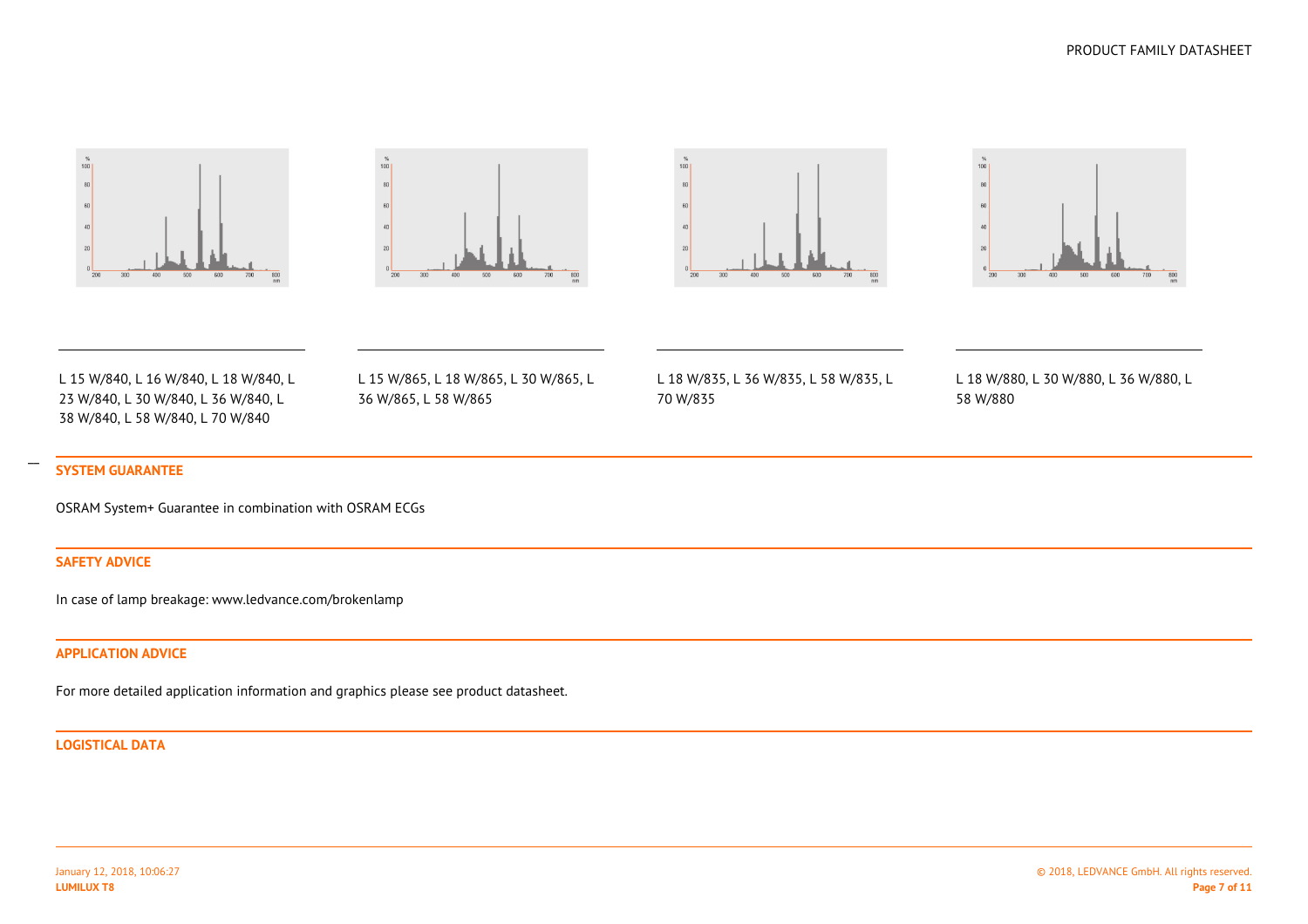







L 15 W/840, L 16 W/840, L 18 W/840, L23 W/840, L 30 W/840, L 36 W/840, L38 W/840, L 58 W/840, L 70 W/840

L 15 W/865, L 18 W/865, L 30 W/865, L36 W/865, L 58 W/865

L 18 W/835, L 36 W/835, L 58 W/835, L70 W/835

L 18 W/880, L 30 W/880, L 36 W/880, L58 W/880

## **SYSTEM GUARANTEE**

OSRAM System+ Guarantee in combination with OSRAM ECGs

## **SAFETY ADVICE**

In case of lamp breakage: www.ledvance.com/brokenlamp

### **APPLICATION ADVICE**

For more detailed application information and graphics please see product datasheet.

#### **LOGISTICAL DATA**

January 12, 2018, 10:06:27**LUMILUX T8**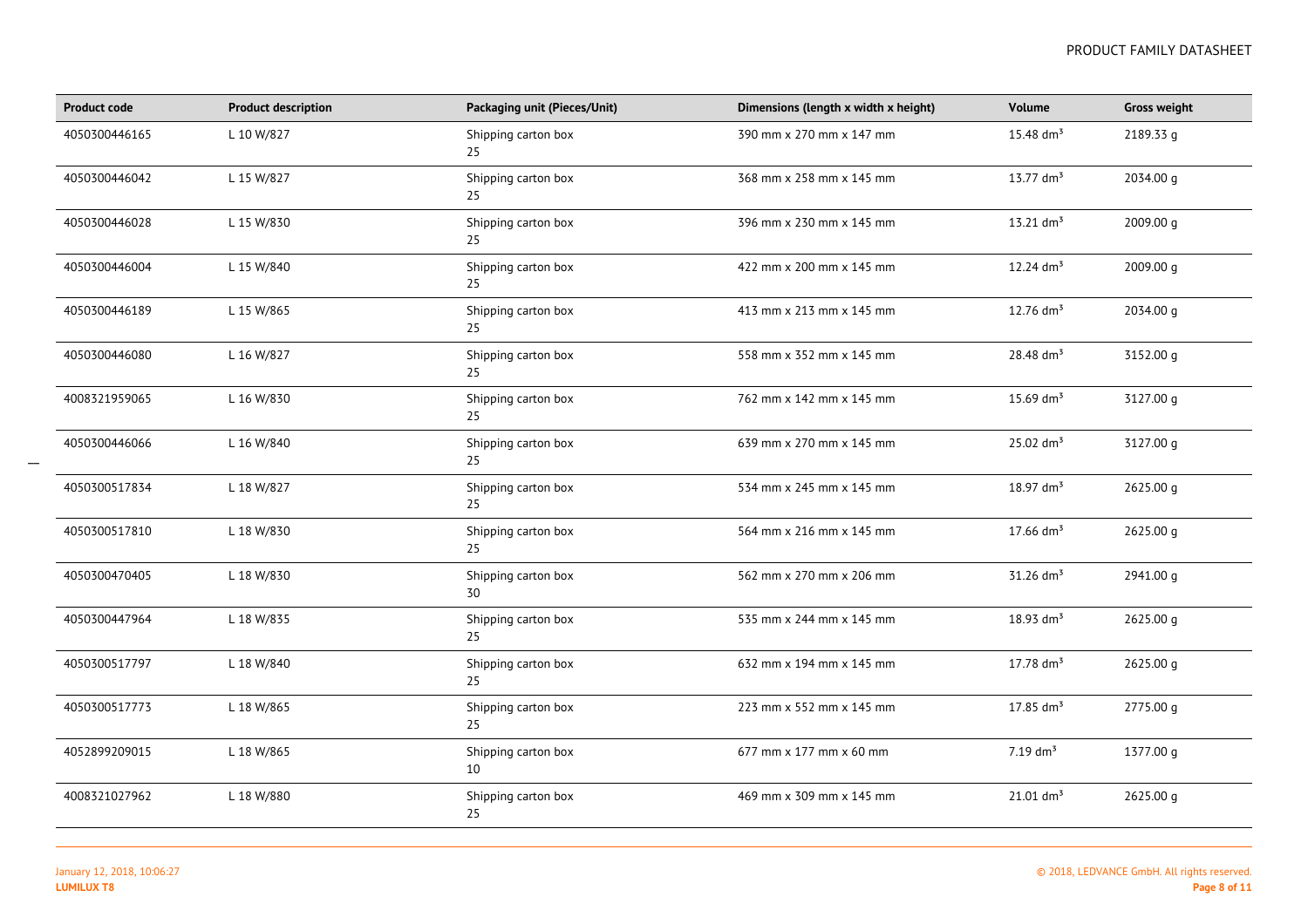| <b>Product code</b> | <b>Product description</b> | Packaging unit (Pieces/Unit) | Dimensions (length x width x height) | Volume                  | <b>Gross weight</b> |
|---------------------|----------------------------|------------------------------|--------------------------------------|-------------------------|---------------------|
| 4050300446165       | L 10 W/827                 | Shipping carton box<br>25    | 390 mm x 270 mm x 147 mm             | 15.48 $dm^3$            | 2189.33 g           |
| 4050300446042       | L 15 W/827                 | Shipping carton box<br>25    | 368 mm x 258 mm x 145 mm             | $13.77$ dm <sup>3</sup> | 2034.00 g           |
| 4050300446028       | L 15 W/830                 | Shipping carton box<br>25    | 396 mm x 230 mm x 145 mm             | $13.21$ dm <sup>3</sup> | 2009.00 g           |
| 4050300446004       | L 15 W/840                 | Shipping carton box<br>25    | 422 mm x 200 mm x 145 mm             | 12.24 $dm3$             | 2009.00 g           |
| 4050300446189       | L 15 W/865                 | Shipping carton box<br>25    | 413 mm x 213 mm x 145 mm             | 12.76 $dm^3$            | 2034.00 g           |
| 4050300446080       | L 16 W/827                 | Shipping carton box<br>25    | 558 mm x 352 mm x 145 mm             | 28.48 dm <sup>3</sup>   | 3152.00 g           |
| 4008321959065       | L 16 W/830                 | Shipping carton box<br>25    | 762 mm x 142 mm x 145 mm             | 15.69 $dm^3$            | 3127.00 g           |
| 4050300446066       | L 16 W/840                 | Shipping carton box<br>25    | 639 mm x 270 mm x 145 mm             | $25.02$ dm <sup>3</sup> | 3127.00 g           |
| 4050300517834       | L 18 W/827                 | Shipping carton box<br>25    | 534 mm x 245 mm x 145 mm             | $18.97$ dm <sup>3</sup> | 2625.00 g           |
| 4050300517810       | L 18 W/830                 | Shipping carton box<br>25    | 564 mm x 216 mm x 145 mm             | $17.66$ dm <sup>3</sup> | 2625.00 g           |
| 4050300470405       | L 18 W/830                 | Shipping carton box<br>30    | 562 mm x 270 mm x 206 mm             | $31.26$ dm <sup>3</sup> | 2941.00 g           |
| 4050300447964       | L 18 W/835                 | Shipping carton box<br>25    | 535 mm x 244 mm x 145 mm             | $18.93$ dm <sup>3</sup> | 2625.00 g           |
| 4050300517797       | L 18 W/840                 | Shipping carton box<br>25    | 632 mm x 194 mm x 145 mm             | $17.78 \text{ dm}^3$    | 2625.00 g           |
| 4050300517773       | L 18 W/865                 | Shipping carton box<br>25    | 223 mm x 552 mm x 145 mm             | $17.85$ dm <sup>3</sup> | 2775.00 g           |
| 4052899209015       | L 18 W/865                 | Shipping carton box<br>10    | 677 mm x 177 mm x 60 mm              | $7.19$ dm <sup>3</sup>  | 1377.00 g           |
| 4008321027962       | L 18 W/880                 | Shipping carton box<br>25    | 469 mm x 309 mm x 145 mm             | $21.01$ dm <sup>3</sup> | 2625.00 g           |

 $\overline{\phantom{a}}$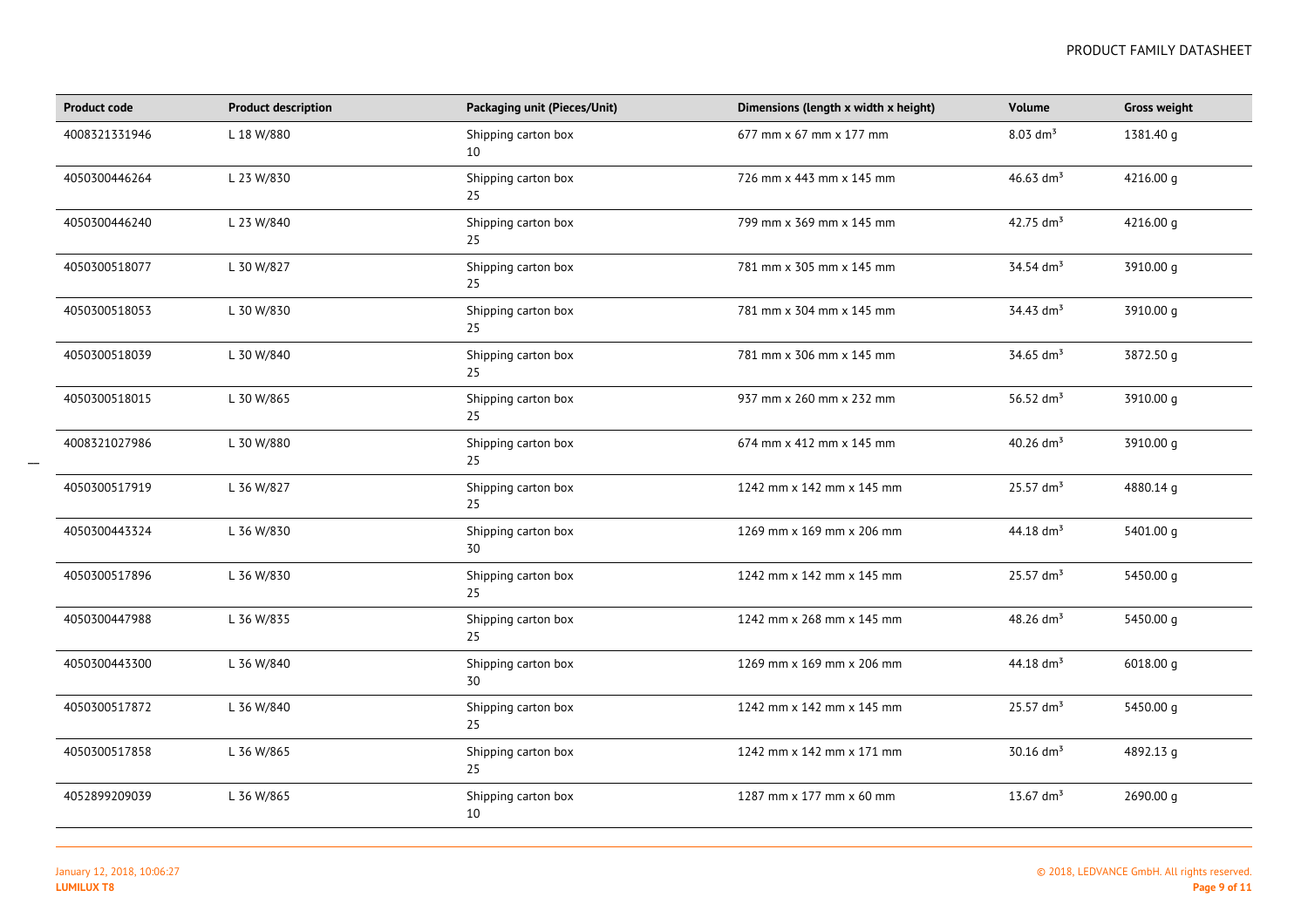| <b>Product code</b> | <b>Product description</b> | Packaging unit (Pieces/Unit) | Dimensions (length x width x height) | Volume                  | <b>Gross weight</b> |
|---------------------|----------------------------|------------------------------|--------------------------------------|-------------------------|---------------------|
| 4008321331946       | L 18 W/880                 | Shipping carton box<br>10    | 677 mm x 67 mm x 177 mm              | $8.03$ dm <sup>3</sup>  | 1381.40 g           |
| 4050300446264       | L 23 W/830                 | Shipping carton box<br>25    | 726 mm x 443 mm x 145 mm             | 46.63 $dm^{3}$          | 4216.00 g           |
| 4050300446240       | L 23 W/840                 | Shipping carton box<br>25    | 799 mm x 369 mm x 145 mm             | 42.75 $\text{dm}^3$     | 4216.00 g           |
| 4050300518077       | L 30 W/827                 | Shipping carton box<br>25    | 781 mm x 305 mm x 145 mm             | 34.54 dm <sup>3</sup>   | 3910.00 g           |
| 4050300518053       | L 30 W/830                 | Shipping carton box<br>25    | 781 mm x 304 mm x 145 mm             | 34.43 dm <sup>3</sup>   | 3910.00 g           |
| 4050300518039       | L 30 W/840                 | Shipping carton box<br>25    | 781 mm x 306 mm x 145 mm             | 34.65 dm <sup>3</sup>   | 3872.50 g           |
| 4050300518015       | L 30 W/865                 | Shipping carton box<br>25    | 937 mm x 260 mm x 232 mm             | 56.52 $dm^3$            | 3910.00 g           |
| 4008321027986       | L 30 W/880                 | Shipping carton box<br>25    | 674 mm x 412 mm x 145 mm             | 40.26 $dm3$             | 3910.00 g           |
| 4050300517919       | L 36 W/827                 | Shipping carton box<br>25    | 1242 mm x 142 mm x 145 mm            | $25.57$ dm <sup>3</sup> | 4880.14 g           |
| 4050300443324       | L 36 W/830                 | Shipping carton box<br>30    | 1269 mm x 169 mm x 206 mm            | 44.18 $\text{dm}^3$     | 5401.00 g           |
| 4050300517896       | L 36 W/830                 | Shipping carton box<br>25    | 1242 mm x 142 mm x 145 mm            | $25.57$ dm <sup>3</sup> | 5450.00 g           |
| 4050300447988       | L 36 W/835                 | Shipping carton box<br>25    | 1242 mm x 268 mm x 145 mm            | 48.26 $dm^3$            | 5450.00 g           |
| 4050300443300       | L 36 W/840                 | Shipping carton box<br>30    | 1269 mm x 169 mm x 206 mm            | 44.18 $dm3$             | 6018.00 g           |
| 4050300517872       | L 36 W/840                 | Shipping carton box<br>25    | 1242 mm x 142 mm x 145 mm            | $25.57$ dm <sup>3</sup> | 5450.00 g           |
| 4050300517858       | L 36 W/865                 | Shipping carton box<br>25    | 1242 mm x 142 mm x 171 mm            | $30.16$ dm <sup>3</sup> | 4892.13 g           |
| 4052899209039       | L 36 W/865                 | Shipping carton box<br>10    | 1287 mm x 177 mm x 60 mm             | 13.67 $dm^3$            | 2690.00 g           |

 $\overline{\phantom{a}}$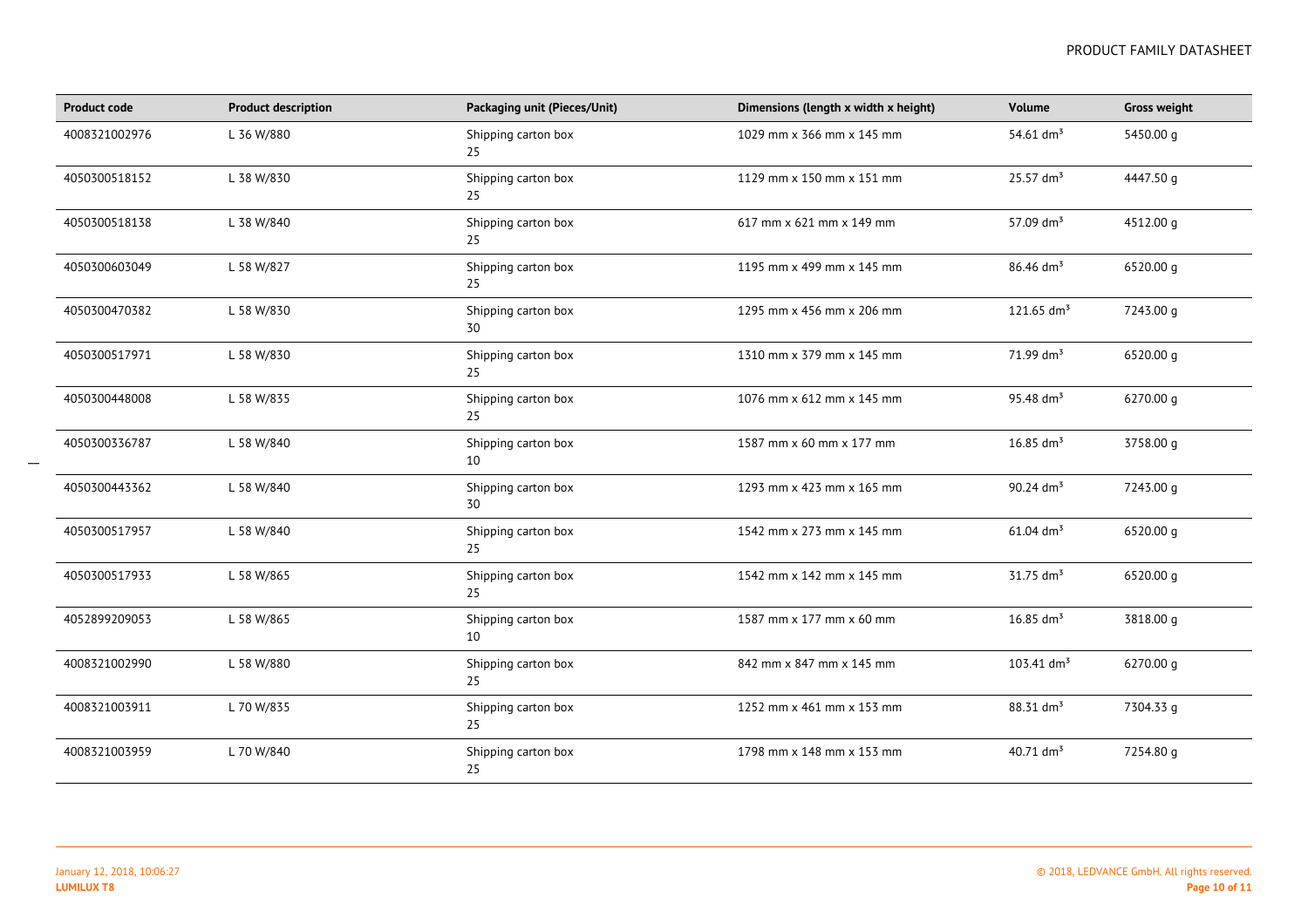| <b>Product code</b> | <b>Product description</b> | Packaging unit (Pieces/Unit) | Dimensions (length x width x height) | <b>Volume</b>            | <b>Gross weight</b> |
|---------------------|----------------------------|------------------------------|--------------------------------------|--------------------------|---------------------|
| 4008321002976       | L 36 W/880                 | Shipping carton box<br>25    | 1029 mm x 366 mm x 145 mm            | 54.61 $dm^3$             | 5450.00 g           |
| 4050300518152       | L 38 W/830                 | Shipping carton box<br>25    | 1129 mm x 150 mm x 151 mm            | $25.57$ dm <sup>3</sup>  | 4447.50 g           |
| 4050300518138       | L 38 W/840                 | Shipping carton box<br>25    | 617 mm x 621 mm x 149 mm             | 57.09 $dm^3$             | 4512.00 g           |
| 4050300603049       | L 58 W/827                 | Shipping carton box<br>25    | 1195 mm x 499 mm x 145 mm            | 86.46 dm <sup>3</sup>    | 6520.00 g           |
| 4050300470382       | L 58 W/830                 | Shipping carton box<br>30    | 1295 mm x 456 mm x 206 mm            | $121.65$ dm <sup>3</sup> | 7243.00 g           |
| 4050300517971       | L 58 W/830                 | Shipping carton box<br>25    | 1310 mm x 379 mm x 145 mm            | 71.99 dm <sup>3</sup>    | 6520.00 g           |
| 4050300448008       | L 58 W/835                 | Shipping carton box<br>25    | 1076 mm x 612 mm x 145 mm            | 95.48 dm <sup>3</sup>    | 6270.00 g           |
| 4050300336787       | L 58 W/840                 | Shipping carton box<br>10    | 1587 mm x 60 mm x 177 mm             | $16.85$ dm <sup>3</sup>  | 3758.00 g           |
| 4050300443362       | L 58 W/840                 | Shipping carton box<br>30    | 1293 mm x 423 mm x 165 mm            | 90.24 $dm^3$             | 7243.00 g           |
| 4050300517957       | L 58 W/840                 | Shipping carton box<br>25    | 1542 mm x 273 mm x 145 mm            | $61.04$ dm <sup>3</sup>  | 6520.00 g           |
| 4050300517933       | L 58 W/865                 | Shipping carton box<br>25    | 1542 mm x 142 mm x 145 mm            | $31.75$ dm <sup>3</sup>  | 6520.00 g           |
| 4052899209053       | L 58 W/865                 | Shipping carton box<br>10    | 1587 mm x 177 mm x 60 mm             | 16.85 $dm^3$             | 3818.00 g           |
| 4008321002990       | L 58 W/880                 | Shipping carton box<br>25    | 842 mm x 847 mm x 145 mm             | $103.41$ dm <sup>3</sup> | 6270.00 g           |
| 4008321003911       | L 70 W/835                 | Shipping carton box<br>25    | 1252 mm x 461 mm x 153 mm            | 88.31 dm <sup>3</sup>    | 7304.33 g           |
| 4008321003959       | L 70 W/840                 | Shipping carton box<br>25    | 1798 mm x 148 mm x 153 mm            | 40.71 $\text{dm}^3$      | 7254.80 g           |

 $\overline{\phantom{a}}$